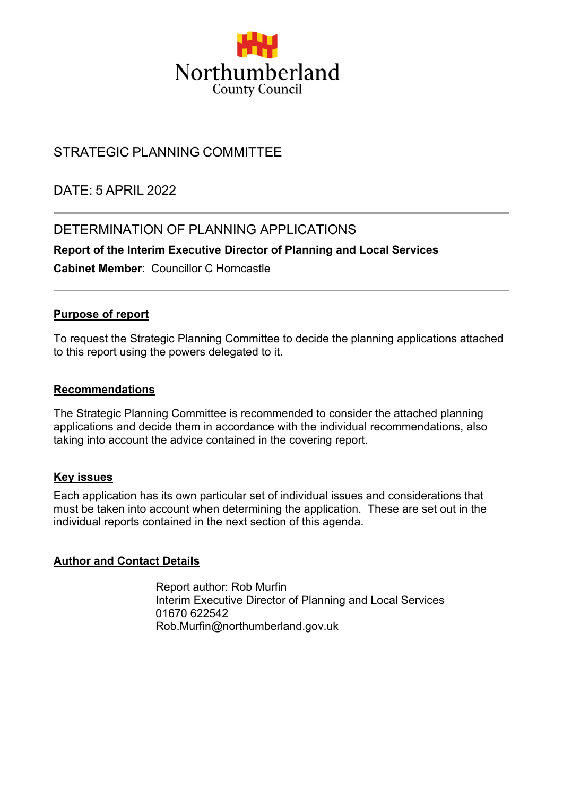

# STRATEGIC PLANNING COMMITTEE

DATE: 5 APRIL 2022

## DETERMINATION OF PLANNING APPLICATIONS

**Report of the Interim Executive Director of Planning and Local Services**

**Cabinet Member**: Councillor C Horncastle

### **Purpose of report**

To request the Strategic Planning Committee to decide the planning applications attached to this report using the powers delegated to it.

#### **Recommendations**

The Strategic Planning Committee is recommended to consider the attached planning applications and decide them in accordance with the individual recommendations, also taking into account the advice contained in the covering report.

#### **Key issues**

Each application has its own particular set of individual issues and considerations that must be taken into account when determining the application. These are set out in the individual reports contained in the next section of this agenda.

### **Author and Contact Details**

Report author: Rob Murfin Interim Executive Director of Planning and Local Services 01670 622542 Rob.Murfin@northumberland.gov.uk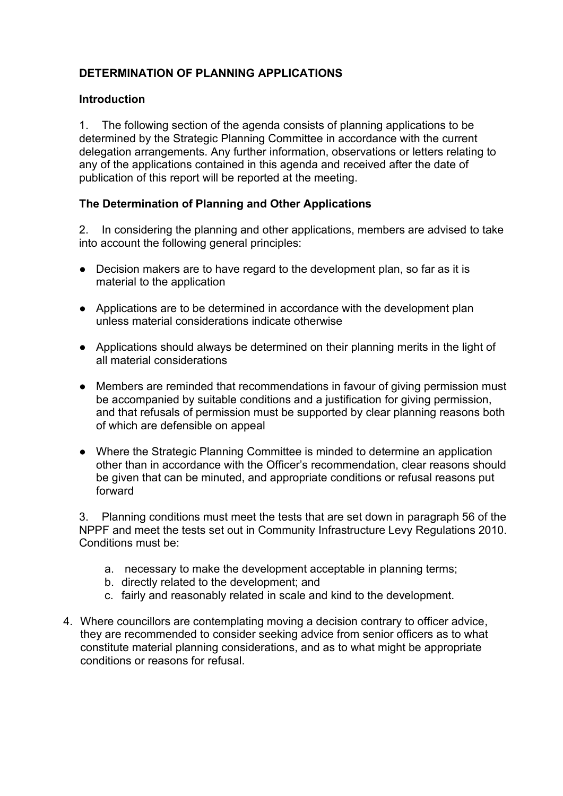## **DETERMINATION OF PLANNING APPLICATIONS**

### **Introduction**

1. The following section of the agenda consists of planning applications to be determined by the Strategic Planning Committee in accordance with the current delegation arrangements. Any further information, observations or letters relating to any of the applications contained in this agenda and received after the date of publication of this report will be reported at the meeting.

### **The Determination of Planning and Other Applications**

2. In considering the planning and other applications, members are advised to take into account the following general principles:

- Decision makers are to have regard to the development plan, so far as it is material to the application
- Applications are to be determined in accordance with the development plan unless material considerations indicate otherwise
- Applications should always be determined on their planning merits in the light of all material considerations
- Members are reminded that recommendations in favour of giving permission must be accompanied by suitable conditions and a justification for giving permission, and that refusals of permission must be supported by clear planning reasons both of which are defensible on appeal
- Where the Strategic Planning Committee is minded to determine an application other than in accordance with the Officer's recommendation, clear reasons should be given that can be minuted, and appropriate conditions or refusal reasons put forward

3. Planning conditions must meet the tests that are set down in paragraph 56 of the NPPF and meet the tests set out in Community Infrastructure Levy Regulations 2010. Conditions must be:

- a. necessary to make the development acceptable in planning terms;
- b. directly related to the development; and
- c. fairly and reasonably related in scale and kind to the development.
- 4. Where councillors are contemplating moving a decision contrary to officer advice, they are recommended to consider seeking advice from senior officers as to what constitute material planning considerations, and as to what might be appropriate conditions or reasons for refusal.